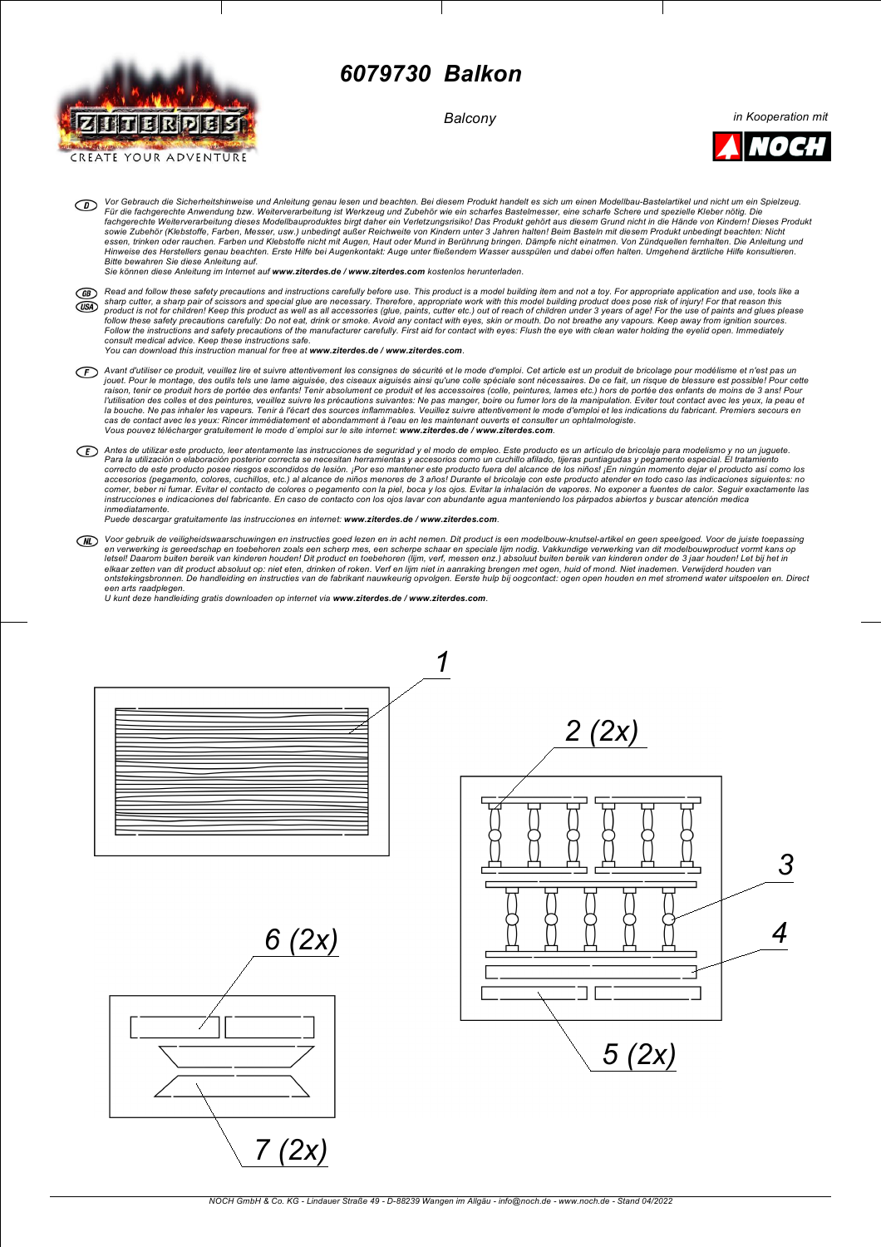

## *6079730 Balkon*

*Balcony*

*in Kooperation mit*



Vor Gebrauch die Sicherheitshinweise und Anleitung genau lesen und beachten. Bei diesem Produkt handelt es sich um einen Modellbau-Bastelartikel und nicht um ein Spielzeug.<br>Für die fachgerechte Anwendung bzw. Weiterverarbe fachgerechte Weiterverarbeitung dieses Modellbauproduktes birgt daher ein Verletzungsrisiko! Das Produkt gehört aus diesem Grund nicht in die Hände von Kindern! Dieses Produkt<br>sowie Zubehör (Klebstoffe, Farben, Messer, usw

*Sie können diese Anleitung im Internet auf www.ziterdes.de / www.ziterdes.com kostenlos herunterladen.*

- Read and follow these safety precautions and instructions carefully before use. This product is a model building item and not a toy. For appropriate application and use, tools like a  $GB)$ sharp cutter, a sharp pair of scissors and special glue are necessary. Therefore, appropriate work with this model building product does pose risk of injury! For that reason this<br>product is not for children! Keep this prod  $($ *USA* Follow the instructions and safety precautions of the manufacturer carefully. First aid for contact with eyes: Flush the eye with clean water holding the eyelid open. Immediately *consult medical advice. Keep these instructions safe. You can download this instruction manual for free at www.ziterdes.de / www.ziterdes.com.*
- Avant d'utiliser ce produit, veuillez lire et suivre attentivement les consignes de sécurité et le mode d'emploi. Cet article est un produit de bricolage pour modélisme et n'est pas un<br>jouet. Pour le montage, des outlis te la bouche. Ne pas inhaler les vapeurs. Tenir à l'écart des sources inflammables. Veuillez suivre attentivement le mode d'emploi et les indications du fabricant. Premiers secours en<br>cas de contact avec les yeux: Rincer immé Vous pouvez télécharger gratuitement le mode d'emploi sur le site internet: www.ziterdes.de / www.ziterdes.com.
- ED Antes de utilizar este producto, leer atentamente las instrucciones de seguridad y el modo de empleo. Este producto es un artículo de bricolaje para modelismo y no un juguete. Para la utilización o elaboración posterior correcta se necesitan herramientas y accesorios como un cuchillo afilado, tijeras puntiagudas y pegamento especial. El tratamiento<br>acrescto de este producto posee riesgos escondi *inmediatamente.*

*Puede descargar gratuitamente las instrucciones en internet: www.ziterdes.de / www.ziterdes.com.*

Voor gebruik de veiligheidswaarschuwingen en instructies goed lezen en in acht nemen. Dit product is een modelbouw-knutsel-artikel en geen speelgoed. Voor de juiste toepassing<br>en verwerking is gereedschap en toebehoren zoa letsell Daarom buiten bereik van kinderen houden! Dit product en toebehoren (lijm, verf, messen enz.) absoluut buiten bereik van kinderen onder de 3 jaar houden! Let bij het in elkaar zetten van dit product absoluut op: niet eten, drinken of roken. Verf en lijm niet in aanraking brengen met ogen, huid of mond. Niet inademen. Verwijderd houden van<br>ontstekingsbronnen. De handleiding en instructies een arts raadplegen.<br>U kunt deze handleiding gratis downloaden op internet via **www.ziterdes.de / www.ziterdes.com**.